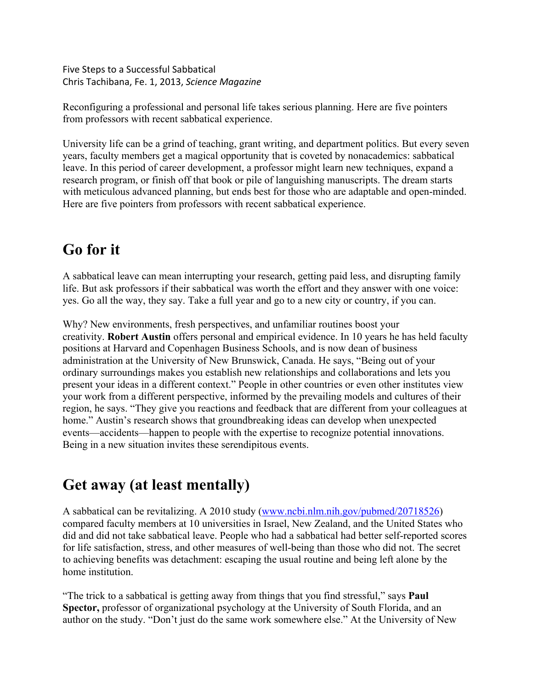Five Steps to a Successful Sabbatical Chris Tachibana, Fe. 1, 2013, *Science Magazine*

Reconfiguring a professional and personal life takes serious planning. Here are five pointers from professors with recent sabbatical experience.

University life can be a grind of teaching, grant writing, and department politics. But every seven years, faculty members get a magical opportunity that is coveted by nonacademics: sabbatical leave. In this period of career development, a professor might learn new techniques, expand a research program, or finish off that book or pile of languishing manuscripts. The dream starts with meticulous advanced planning, but ends best for those who are adaptable and open-minded. Here are five pointers from professors with recent sabbatical experience.

# **Go for it**

A sabbatical leave can mean interrupting your research, getting paid less, and disrupting family life. But ask professors if their sabbatical was worth the effort and they answer with one voice: yes. Go all the way, they say. Take a full year and go to a new city or country, if you can.

Why? New environments, fresh perspectives, and unfamiliar routines boost your creativity. **Robert Austin** offers personal and empirical evidence. In 10 years he has held faculty positions at Harvard and Copenhagen Business Schools, and is now dean of business administration at the University of New Brunswick, Canada. He says, "Being out of your ordinary surroundings makes you establish new relationships and collaborations and lets you present your ideas in a different context." People in other countries or even other institutes view your work from a different perspective, informed by the prevailing models and cultures of their region, he says. "They give you reactions and feedback that are different from your colleagues at home." Austin's research shows that groundbreaking ideas can develop when unexpected events—accidents—happen to people with the expertise to recognize potential innovations. Being in a new situation invites these serendipitous events.

# **Get away (at least mentally)**

A sabbatical can be revitalizing. A 2010 study (www.ncbi.nlm.nih.gov/pubmed/20718526) compared faculty members at 10 universities in Israel, New Zealand, and the United States who did and did not take sabbatical leave. People who had a sabbatical had better self-reported scores for life satisfaction, stress, and other measures of well-being than those who did not. The secret to achieving benefits was detachment: escaping the usual routine and being left alone by the home institution.

"The trick to a sabbatical is getting away from things that you find stressful," says **Paul Spector,** professor of organizational psychology at the University of South Florida, and an author on the study. "Don't just do the same work somewhere else." At the University of New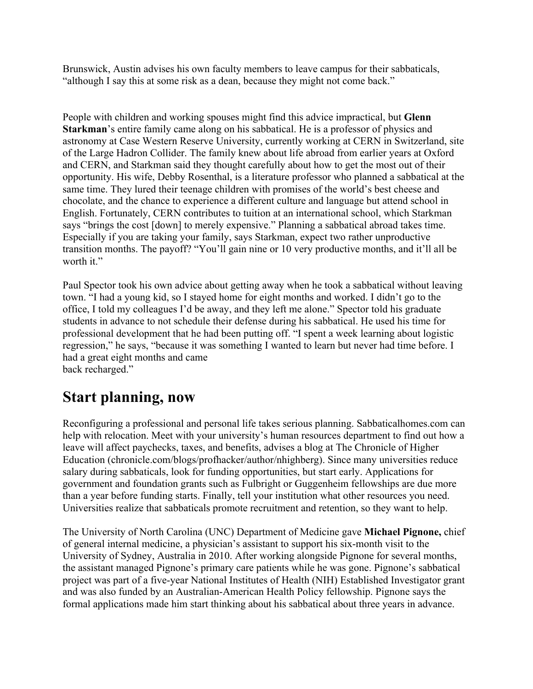Brunswick, Austin advises his own faculty members to leave campus for their sabbaticals, "although I say this at some risk as a dean, because they might not come back."

People with children and working spouses might find this advice impractical, but **Glenn Starkman**'s entire family came along on his sabbatical. He is a professor of physics and astronomy at Case Western Reserve University, currently working at CERN in Switzerland, site of the Large Hadron Collider. The family knew about life abroad from earlier years at Oxford and CERN, and Starkman said they thought carefully about how to get the most out of their opportunity. His wife, Debby Rosenthal, is a literature professor who planned a sabbatical at the same time. They lured their teenage children with promises of the world's best cheese and chocolate, and the chance to experience a different culture and language but attend school in English. Fortunately, CERN contributes to tuition at an international school, which Starkman says "brings the cost [down] to merely expensive." Planning a sabbatical abroad takes time. Especially if you are taking your family, says Starkman, expect two rather unproductive transition months. The payoff? "You'll gain nine or 10 very productive months, and it'll all be worth it."

Paul Spector took his own advice about getting away when he took a sabbatical without leaving town. "I had a young kid, so I stayed home for eight months and worked. I didn't go to the office, I told my colleagues I'd be away, and they left me alone." Spector told his graduate students in advance to not schedule their defense during his sabbatical. He used his time for professional development that he had been putting off. "I spent a week learning about logistic regression," he says, "because it was something I wanted to learn but never had time before. I had a great eight months and came back recharged."

## **Start planning, now**

Reconfiguring a professional and personal life takes serious planning. Sabbaticalhomes.com can help with relocation. Meet with your university's human resources department to find out how a leave will affect paychecks, taxes, and benefits, advises a blog at The Chronicle of Higher Education (chronicle.com/blogs/profhacker/author/nhighberg). Since many universities reduce salary during sabbaticals, look for funding opportunities, but start early. Applications for government and foundation grants such as Fulbright or Guggenheim fellowships are due more than a year before funding starts. Finally, tell your institution what other resources you need. Universities realize that sabbaticals promote recruitment and retention, so they want to help.

The University of North Carolina (UNC) Department of Medicine gave **Michael Pignone,** chief of general internal medicine, a physician's assistant to support his six-month visit to the University of Sydney, Australia in 2010. After working alongside Pignone for several months, the assistant managed Pignone's primary care patients while he was gone. Pignone's sabbatical project was part of a five-year National Institutes of Health (NIH) Established Investigator grant and was also funded by an Australian-American Health Policy fellowship. Pignone says the formal applications made him start thinking about his sabbatical about three years in advance.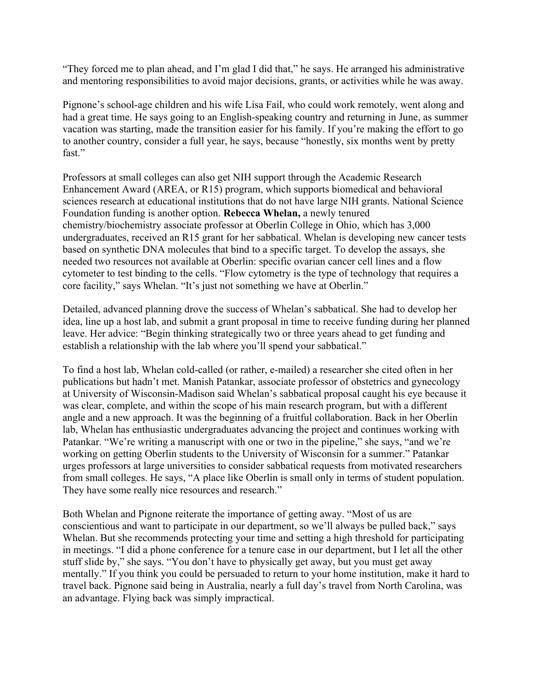"They forced me to plan ahead, and I'm glad I did that," he says. He arranged his administrative and mentoring responsibilities to avoid major decisions, grants, or activities while he was away.

Pignone's school-age children and his wife Lisa Fail, who could work remotely, went along and had a great time. He says going to an English-speaking country and returning in June, as summer vacation was starting, made the transition easier for his family. If you're making the effort to go to another country, consider a full year, he says, because "honestly, six months went by pretty fast."

Professors at small colleges can also get NIH support through the Academic Research Enhancement Award (AREA, or R15) program, which supports biomedical and behavioral sciences research at educational institutions that do not have large NIH grants. National Science Foundation funding is another option. **Rebecca Whelan,** a newly tenured chemistry/biochemistry associate professor at Oberlin College in Ohio, which has 3,000 undergraduates, received an R15 grant for her sabbatical. Whelan is developing new cancer tests based on synthetic DNA molecules that bind to a specific target. To develop the assays, she needed two resources not available at Oberlin: specific ovarian cancer cell lines and a flow cytometer to test binding to the cells. "Flow cytometry is the type of technology that requires a core facility," says Whelan. "It's just not something we have at Oberlin."

Detailed, advanced planning drove the success of Whelan's sabbatical. She had to develop her idea, line up a host lab, and submit a grant proposal in time to receive funding during her planned leave. Her advice: "Begin thinking strategically two or three years ahead to get funding and establish a relationship with the lab where you'll spend your sabbatical."

To find a host lab, Whelan cold-called (or rather, e-mailed) a researcher she cited often in her publications but hadn't met. Manish Patankar, associate professor of obstetrics and gynecology at University of Wisconsin-Madison said Whelan's sabbatical proposal caught his eye because it was clear, complete, and within the scope of his main research program, but with a different angle and a new approach. It was the beginning of a fruitful collaboration. Back in her Oberlin lab, Whelan has enthusiastic undergraduates advancing the project and continues working with Patankar. "We're writing a manuscript with one or two in the pipeline," she says, "and we're working on getting Oberlin students to the University of Wisconsin for a summer." Patankar urges professors at large universities to consider sabbatical requests from motivated researchers from small colleges. He says, "A place like Oberlin is small only in terms of student population. They have some really nice resources and research."

Both Whelan and Pignone reiterate the importance of getting away. "Most of us are conscientious and want to participate in our department, so we'll always be pulled back," says Whelan. But she recommends protecting your time and setting a high threshold for participating in meetings. "I did a phone conference for a tenure case in our department, but I let all the other stuff slide by," she says. "You don't have to physically get away, but you must get away mentally." If you think you could be persuaded to return to your home institution, make it hard to travel back. Pignone said being in Australia, nearly a full day's travel from North Carolina, was an advantage. Flying back was simply impractical.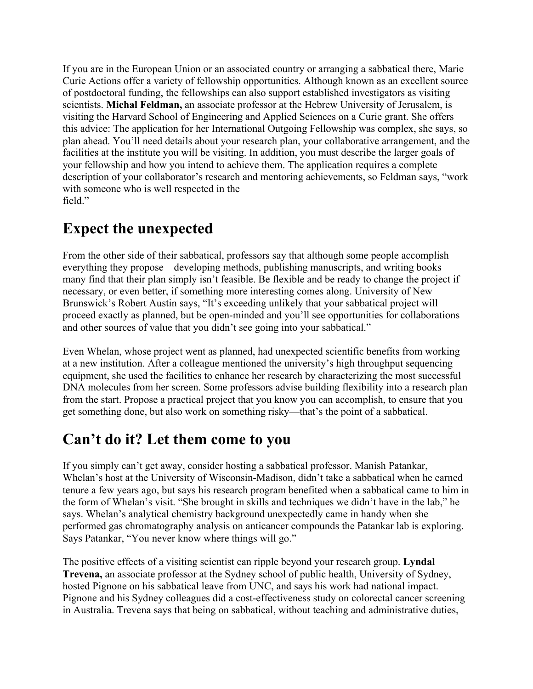If you are in the European Union or an associated country or arranging a sabbatical there, Marie Curie Actions offer a variety of fellowship opportunities. Although known as an excellent source of postdoctoral funding, the fellowships can also support established investigators as visiting scientists. **Michal Feldman,** an associate professor at the Hebrew University of Jerusalem, is visiting the Harvard School of Engineering and Applied Sciences on a Curie grant. She offers this advice: The application for her International Outgoing Fellowship was complex, she says, so plan ahead. You'll need details about your research plan, your collaborative arrangement, and the facilities at the institute you will be visiting. In addition, you must describe the larger goals of your fellowship and how you intend to achieve them. The application requires a complete description of your collaborator's research and mentoring achievements, so Feldman says, "work with someone who is well respected in the field."

## **Expect the unexpected**

From the other side of their sabbatical, professors say that although some people accomplish everything they propose—developing methods, publishing manuscripts, and writing books many find that their plan simply isn't feasible. Be flexible and be ready to change the project if necessary, or even better, if something more interesting comes along. University of New Brunswick's Robert Austin says, "It's exceeding unlikely that your sabbatical project will proceed exactly as planned, but be open-minded and you'll see opportunities for collaborations and other sources of value that you didn't see going into your sabbatical."

Even Whelan, whose project went as planned, had unexpected scientific benefits from working at a new institution. After a colleague mentioned the university's high throughput sequencing equipment, she used the facilities to enhance her research by characterizing the most successful DNA molecules from her screen. Some professors advise building flexibility into a research plan from the start. Propose a practical project that you know you can accomplish, to ensure that you get something done, but also work on something risky—that's the point of a sabbatical.

## **Can't do it? Let them come to you**

If you simply can't get away, consider hosting a sabbatical professor. Manish Patankar, Whelan's host at the University of Wisconsin-Madison, didn't take a sabbatical when he earned tenure a few years ago, but says his research program benefited when a sabbatical came to him in the form of Whelan's visit. "She brought in skills and techniques we didn't have in the lab," he says. Whelan's analytical chemistry background unexpectedly came in handy when she performed gas chromatography analysis on anticancer compounds the Patankar lab is exploring. Says Patankar, "You never know where things will go."

The positive effects of a visiting scientist can ripple beyond your research group. **Lyndal Trevena,** an associate professor at the Sydney school of public health, University of Sydney, hosted Pignone on his sabbatical leave from UNC, and says his work had national impact. Pignone and his Sydney colleagues did a cost-effectiveness study on colorectal cancer screening in Australia. Trevena says that being on sabbatical, without teaching and administrative duties,